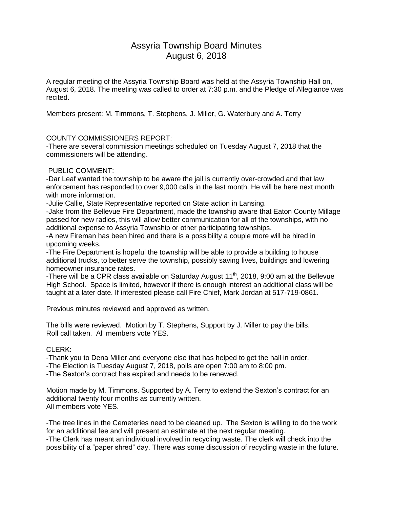# Assyria Township Board Minutes August 6, 2018

A regular meeting of the Assyria Township Board was held at the Assyria Township Hall on, August 6, 2018. The meeting was called to order at 7:30 p.m. and the Pledge of Allegiance was recited.

Members present: M. Timmons, T. Stephens, J. Miller, G. Waterbury and A. Terry

## COUNTY COMMISSIONERS REPORT:

-There are several commission meetings scheduled on Tuesday August 7, 2018 that the commissioners will be attending.

### PUBLIC COMMENT:

-Dar Leaf wanted the township to be aware the jail is currently over-crowded and that law enforcement has responded to over 9,000 calls in the last month. He will be here next month with more information.

-Julie Callie, State Representative reported on State action in Lansing.

-Jake from the Bellevue Fire Department, made the township aware that Eaton County Millage passed for new radios, this will allow better communication for all of the townships, with no additional expense to Assyria Township or other participating townships.

-A new Fireman has been hired and there is a possibility a couple more will be hired in upcoming weeks.

-The Fire Department is hopeful the township will be able to provide a building to house additional trucks, to better serve the township, possibly saving lives, buildings and lowering homeowner insurance rates.

-There will be a CPR class available on Saturday August 11th, 2018, 9:00 am at the Bellevue High School. Space is limited, however if there is enough interest an additional class will be taught at a later date. If interested please call Fire Chief, Mark Jordan at 517-719-0861.

Previous minutes reviewed and approved as written.

The bills were reviewed. Motion by T. Stephens, Support by J. Miller to pay the bills. Roll call taken. All members vote YES.

## CLERK:

-Thank you to Dena Miller and everyone else that has helped to get the hall in order.

-The Election is Tuesday August 7, 2018, polls are open 7:00 am to 8:00 pm.

-The Sexton's contract has expired and needs to be renewed.

Motion made by M. Timmons, Supported by A. Terry to extend the Sexton's contract for an additional twenty four months as currently written. All members vote YES.

-The tree lines in the Cemeteries need to be cleaned up. The Sexton is willing to do the work for an additional fee and will present an estimate at the next regular meeting.

-The Clerk has meant an individual involved in recycling waste. The clerk will check into the possibility of a "paper shred" day. There was some discussion of recycling waste in the future.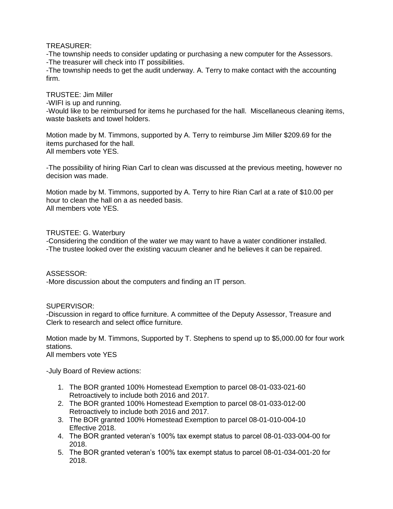TREASURER:

-The township needs to consider updating or purchasing a new computer for the Assessors. -The treasurer will check into IT possibilities.

-The township needs to get the audit underway. A. Terry to make contact with the accounting firm.

TRUSTEE: Jim Miller

-WIFI is up and running.

-Would like to be reimbursed for items he purchased for the hall. Miscellaneous cleaning items, waste baskets and towel holders.

Motion made by M. Timmons, supported by A. Terry to reimburse Jim Miller \$209.69 for the items purchased for the hall. All members vote YES.

-The possibility of hiring Rian Carl to clean was discussed at the previous meeting, however no decision was made.

Motion made by M. Timmons, supported by A. Terry to hire Rian Carl at a rate of \$10.00 per hour to clean the hall on a as needed basis. All members vote YES.

#### TRUSTEE: G. Waterbury

-Considering the condition of the water we may want to have a water conditioner installed. -The trustee looked over the existing vacuum cleaner and he believes it can be repaired.

#### ASSESSOR:

-More discussion about the computers and finding an IT person.

SUPERVISOR:

-Discussion in regard to office furniture. A committee of the Deputy Assessor, Treasure and Clerk to research and select office furniture.

Motion made by M. Timmons, Supported by T. Stephens to spend up to \$5,000.00 for four work stations. All members vote YES

-July Board of Review actions:

- 1. The BOR granted 100% Homestead Exemption to parcel 08-01-033-021-60 Retroactively to include both 2016 and 2017.
- 2. The BOR granted 100% Homestead Exemption to parcel 08-01-033-012-00 Retroactively to include both 2016 and 2017.
- 3. The BOR granted 100% Homestead Exemption to parcel 08-01-010-004-10 Effective 2018.
- 4. The BOR granted veteran's 100% tax exempt status to parcel 08-01-033-004-00 for 2018.
- 5. The BOR granted veteran's 100% tax exempt status to parcel 08-01-034-001-20 for 2018.